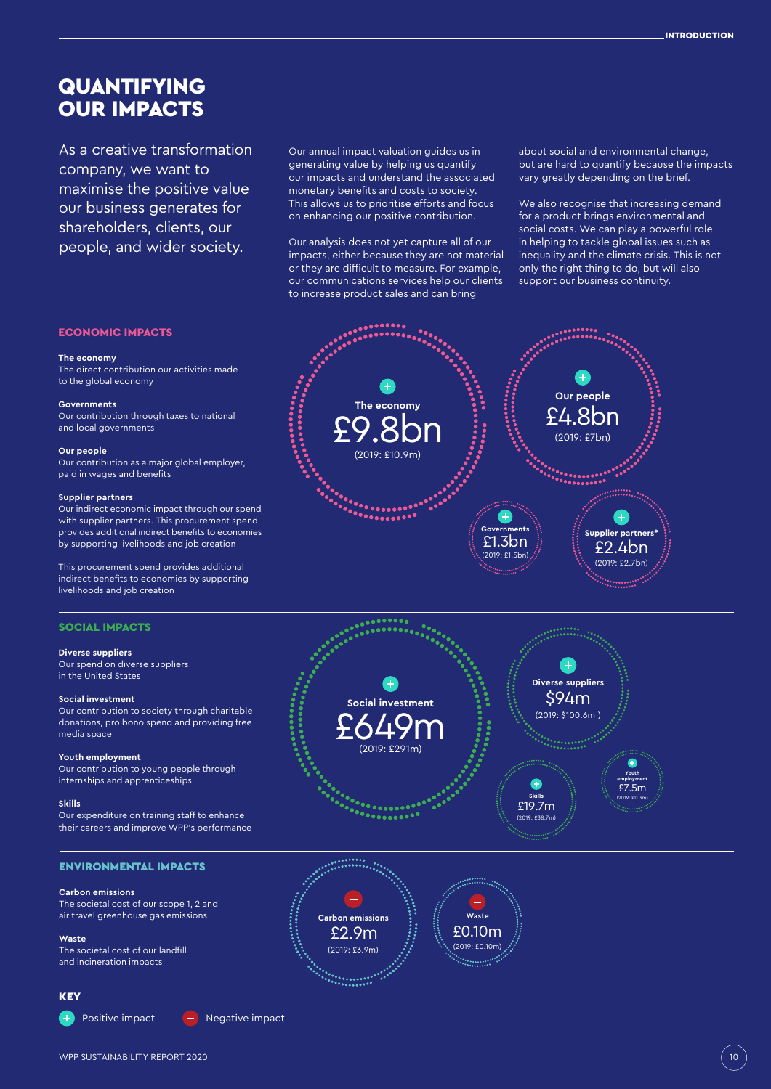# QUANTIFYING **OUR IMPACTS**

As a creative transformation company, we want to maximise the positive value our business generates for shareholders, clients, our people, and wider society.

Our annual impact valuation guides us in generating value by helping us quantify our impacts and understand the associated monetary benefits and costs to society. This allows us to prioritise efforts and focus on enhancing our positive contribution.

Our analysis does not yet capture all of our impacts, either because they are not material or they are difficult to measure. For example, our communications services help our clients to increase product sales and can bring

about social and environmental change, but are hard to quantify because the impacts vary greatly depending on the brief.

We also recognise that increasing demand for a product brings environmental and social costs. We can play a powerful role in helping to tackle global issues such as inequality and the climate crisis. This is not only the right thing to do, but will also support our business continuity.

## ECONOMIC IMPACTS

#### **The economy**

The direct contribution our activities made to the global economy

#### **Governments**

Our contribution through taxes to national and local governments

#### **Our people**

Our contribution as a major global employer, paid in wages and benefits

## **Supplier partners**

Our indirect economic impact through our spend with supplier partners. This procurement spend provides additional indirect benefits to economies by supporting livelihoods and job creation

This procurement spend provides additional indirect benefits to economies by supporting livelihoods and job creation

## SOCIAL IMPACTS

#### **Diverse suppliers**

Our spend on diverse suppliers in the United States

#### **Social investment**

Our contribution to society through charitable donations, pro bono spend and providing free media space

## **Youth employment**

Our contribution to young people through internships and apprenticeships

## **Skills**

Our expenditure on training staff to enhance their careers and improve WPP's performance

## ENVIRONMENTAL IMPACTS

## **Carbon emissions**

The societal cost of our scope 1, 2 and air travel greenhouse gas emissions

**Waste**  The societal cost of our landfill

and incineration impacts

## **KEY**

Positive impact  $\left( - \right)$  Negative impact





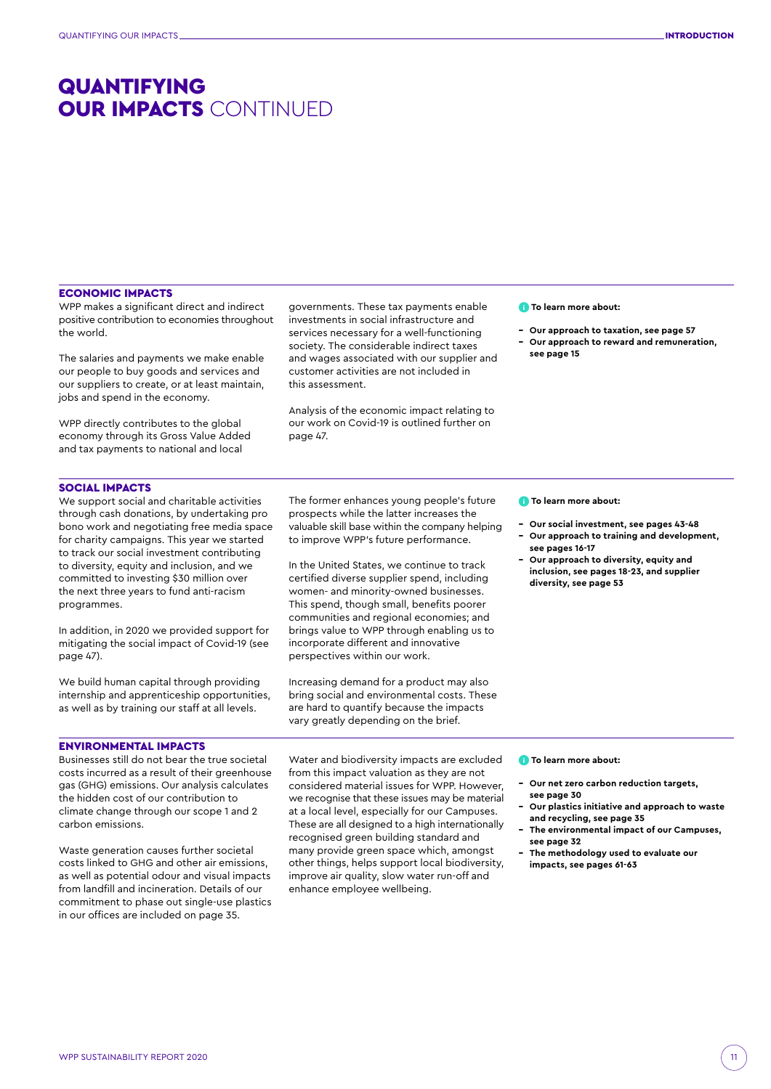# QUANTIFYING OUR IMPACTS CONTINUED

## ECONOMIC IMPACTS

WPP makes a significant direct and indirect positive contribution to economies throughout the world.

The salaries and payments we make enable our people to buy goods and services and our suppliers to create, or at least maintain, jobs and spend in the economy.

WPP directly contributes to the global economy through its Gross Value Added and tax payments to national and local

governments. These tax payments enable investments in social infrastructure and services necessary for a well-functioning society. The considerable indirect taxes and wages associated with our supplier and customer activities are not included in this assessment.

Analysis of the economic impact relating to our work on Covid-19 is outlined further on page 47.

## **To learn more about:**

- **Our approach to taxation, see page 57**
- **Our approach to reward and remuneration, see page 15**

## SOCIAL IMPACTS

We support social and charitable activities through cash donations, by undertaking pro bono work and negotiating free media space for charity campaigns. This year we started to track our social investment contributing to diversity, equity and inclusion, and we committed to investing \$30 million over the next three years to fund anti-racism programmes.

In addition, in 2020 we provided support for mitigating the social impact of Covid-19 (see page 47).

We build human capital through providing internship and apprenticeship opportunities, as well as by training our staff at all levels.

## ENVIRONMENTAL IMPACTS

Businesses still do not bear the true societal costs incurred as a result of their greenhouse gas (GHG) emissions. Our analysis calculates the hidden cost of our contribution to climate change through our scope 1 and 2 carbon emissions.

Waste generation causes further societal costs linked to GHG and other air emissions, as well as potential odour and visual impacts from landfill and incineration. Details of our commitment to phase out single-use plastics in our offices are included on page 35.

The former enhances young people's future prospects while the latter increases the valuable skill base within the company helping to improve WPP's future performance.

In the United States, we continue to track certified diverse supplier spend, including women- and minority-owned businesses. This spend, though small, benefits poorer communities and regional economies; and brings value to WPP through enabling us to incorporate different and innovative perspectives within our work.

Increasing demand for a product may also bring social and environmental costs. These are hard to quantify because the impacts vary greatly depending on the brief.

Water and biodiversity impacts are excluded from this impact valuation as they are not considered material issues for WPP. However, we recognise that these issues may be material at a local level, especially for our Campuses. These are all designed to a high internationally recognised green building standard and many provide green space which, amongst other things, helps support local biodiversity, improve air quality, slow water run-off and

enhance employee wellbeing.

## **To learn more about:**

- **Our social investment, see pages 43-48**
- **Our approach to training and development, see pages 16-17**
- **Our approach to diversity, equity and inclusion, see pages 18-23, and supplier diversity, see page 53**

**To learn more about:**

- **Our net zero carbon reduction targets, see page 30**
- **Our plastics initiative and approach to waste and recycling, see page 35**
- **The environmental impact of our Campuses, see page 32**
- **The methodology used to evaluate our impacts, see pages 61-63**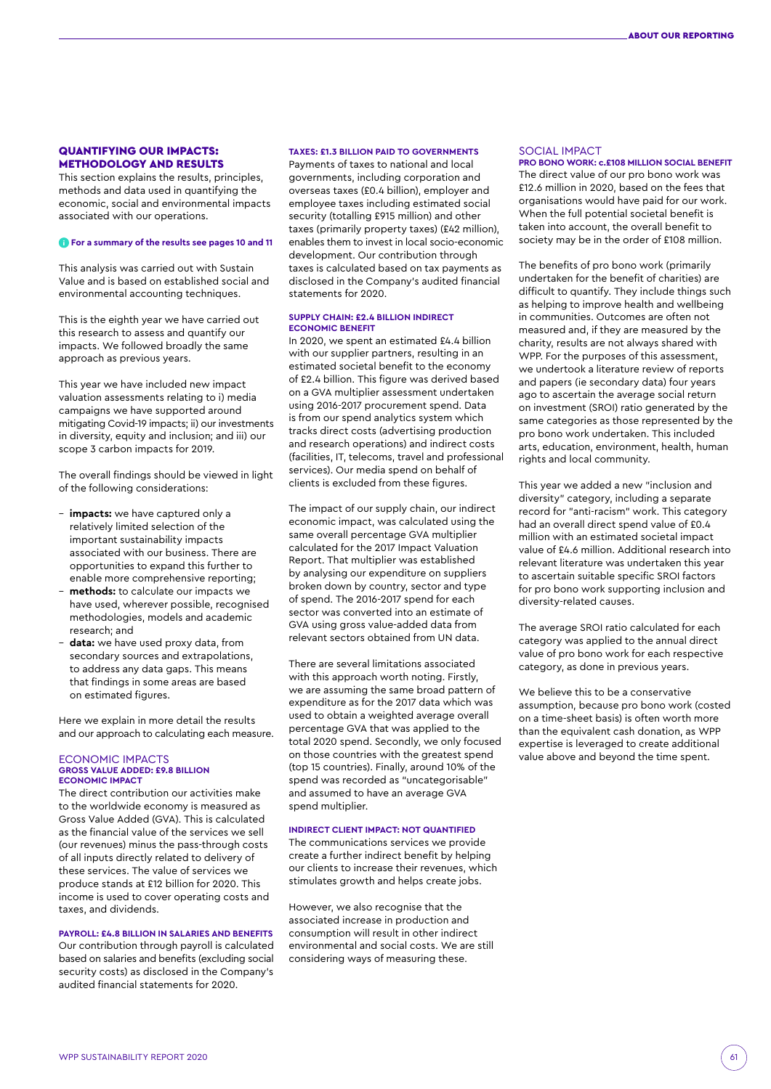## QUANTIFYING OUR IMPACTS: METHODOLOGY AND RESULTS

This section explains the results, principles, methods and data used in quantifying the economic, social and environmental impacts associated with our operations.

## **For a summary of the results see pages 10 and 11**

This analysis was carried out with Sustain Value and is based on established social and environmental accounting techniques.

This is the eighth year we have carried out this research to assess and quantify our impacts. We followed broadly the same approach as previous years.

This year we have included new impact valuation assessments relating to i) media campaigns we have supported around mitigating Covid-19 impacts; ii) our investments in diversity, equity and inclusion; and iii) our scope 3 carbon impacts for 2019.

The overall findings should be viewed in light of the following considerations:

- **impacts:** we have captured only a relatively limited selection of the important sustainability impacts associated with our business. There are opportunities to expand this further to enable more comprehensive reporting;
- **methods:** to calculate our impacts we have used, wherever possible, recognised methodologies, models and academic research; and
- **data:** we have used proxy data, from secondary sources and extrapolations, to address any data gaps. This means that findings in some areas are based on estimated figures.

Here we explain in more detail the results and our approach to calculating each measure.

### ECONOMIC IMPACTS **GROSS VALUE ADDED: £9.8 BILLION ECONOMIC IMPACT**

The direct contribution our activities make to the worldwide economy is measured as Gross Value Added (GVA). This is calculated as the financial value of the services we sell (our revenues) minus the pass-through costs of all inputs directly related to delivery of these services. The value of services we produce stands at £12 billion for 2020. This income is used to cover operating costs and taxes, and dividends.

## **PAYROLL: £4.8 BILLION IN SALARIES AND BENEFITS**

Our contribution through payroll is calculated based on salaries and benefits (excluding social security costs) as disclosed in the Company's audited financial statements for 2020.

## **TAXES: £1.3 BILLION PAID TO GOVERNMENTS**

Payments of taxes to national and local governments, including corporation and overseas taxes (£0.4 billion), employer and employee taxes including estimated social security (totalling £915 million) and other taxes (primarily property taxes) (£42 million), enables them to invest in local socio-economic development. Our contribution through taxes is calculated based on tax payments as disclosed in the Company's audited financial statements for 2020.

## **SUPPLY CHAIN: £2.4 BILLION INDIRECT ECONOMIC BENEFIT**

In 2020, we spent an estimated £4.4 billion with our supplier partners, resulting in an estimated societal benefit to the economy of £2.4 billion. This figure was derived based on a GVA multiplier assessment undertaken using 2016-2017 procurement spend. Data is from our spend analytics system which tracks direct costs (advertising production and research operations) and indirect costs (facilities, IT, telecoms, travel and professional services). Our media spend on behalf of clients is excluded from these figures.

The impact of our supply chain, our indirect economic impact, was calculated using the same overall percentage GVA multiplier calculated for the 2017 Impact Valuation Report. That multiplier was established by analysing our expenditure on suppliers broken down by country, sector and type of spend. The 2016-2017 spend for each sector was converted into an estimate of GVA using gross value-added data from relevant sectors obtained from UN data.

There are several limitations associated with this approach worth noting. Firstly, we are assuming the same broad pattern of expenditure as for the 2017 data which was used to obtain a weighted average overall percentage GVA that was applied to the total 2020 spend. Secondly, we only focused on those countries with the greatest spend (top 15 countries). Finally, around 10% of the spend was recorded as "uncategorisable" and assumed to have an average GVA spend multiplier.

## **INDIRECT CLIENT IMPACT: NOT QUANTIFIED**

The communications services we provide create a further indirect benefit by helping our clients to increase their revenues, which stimulates growth and helps create jobs.

However, we also recognise that the associated increase in production and consumption will result in other indirect environmental and social costs. We are still considering ways of measuring these.

## SOCIAL IMPACT

## **PRO BONO WORK: c.£108 MILLION SOCIAL BENEFIT** The direct value of our pro bono work was

£12.6 million in 2020, based on the fees that organisations would have paid for our work. When the full potential societal benefit is taken into account, the overall benefit to society may be in the order of £108 million.

The benefits of pro bono work (primarily undertaken for the benefit of charities) are difficult to quantify. They include things such as helping to improve health and wellbeing in communities. Outcomes are often not measured and, if they are measured by the charity, results are not always shared with WPP. For the purposes of this assessment, we undertook a literature review of reports and papers (ie secondary data) four years ago to ascertain the average social return on investment (SROI) ratio generated by the same categories as those represented by the pro bono work undertaken. This included arts, education, environment, health, human rights and local community.

This year we added a new "inclusion and diversity" category, including a separate record for "anti-racism" work. This category had an overall direct spend value of £0.4 million with an estimated societal impact value of £4.6 million. Additional research into relevant literature was undertaken this year to ascertain suitable specific SROI factors for pro bono work supporting inclusion and diversity-related causes.

The average SROI ratio calculated for each category was applied to the annual direct value of pro bono work for each respective category, as done in previous years.

We believe this to be a conservative assumption, because pro bono work (costed on a time-sheet basis) is often worth more than the equivalent cash donation, as WPP expertise is leveraged to create additional value above and beyond the time spent.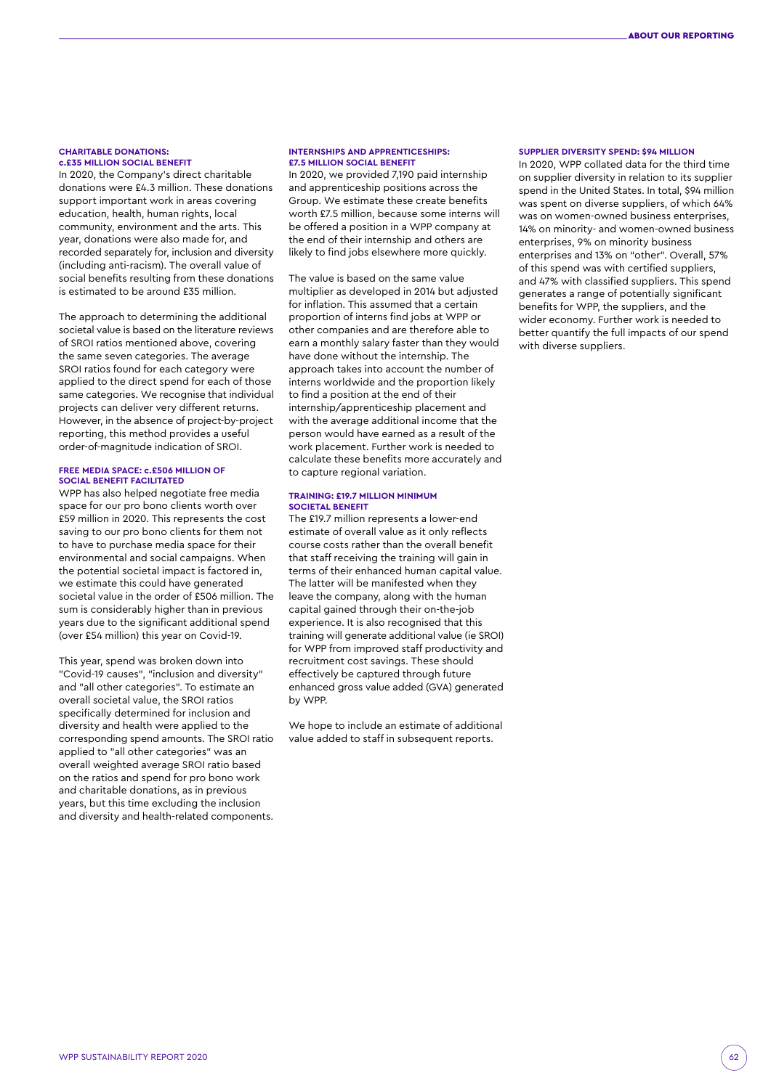## **CHARITABLE DONATIONS: c.£35 MILLION SOCIAL BENEFIT**

In 2020, the Company's direct charitable donations were £4.3 million. These donations support important work in areas covering education, health, human rights, local community, environment and the arts. This year, donations were also made for, and recorded separately for, inclusion and diversity (including anti-racism). The overall value of social benefits resulting from these donations is estimated to be around £35 million.

The approach to determining the additional societal value is based on the literature reviews of SROI ratios mentioned above, covering the same seven categories. The average SROI ratios found for each category were applied to the direct spend for each of those same categories. We recognise that individual projects can deliver very different returns. However, in the absence of project-by-project reporting, this method provides a useful order-of-magnitude indication of SROI.

## **FREE MEDIA SPACE: c.£506 MILLION OF SOCIAL BENEFIT FACILITATED**

WPP has also helped negotiate free media space for our pro bono clients worth over £59 million in 2020. This represents the cost saving to our pro bono clients for them not to have to purchase media space for their environmental and social campaigns. When the potential societal impact is factored in, we estimate this could have generated societal value in the order of £506 million. The sum is considerably higher than in previous years due to the significant additional spend (over £54 million) this year on Covid-19.

This year, spend was broken down into "Covid-19 causes", "inclusion and diversity" and "all other categories". To estimate an overall societal value, the SROI ratios specifically determined for inclusion and diversity and health were applied to the corresponding spend amounts. The SROI ratio applied to "all other categories" was an overall weighted average SROI ratio based on the ratios and spend for pro bono work and charitable donations, as in previous years, but this time excluding the inclusion and diversity and health-related components.

## **INTERNSHIPS AND APPRENTICESHIPS: £7.5 MILLION SOCIAL BENEFIT**

In 2020, we provided 7,190 paid internship and apprenticeship positions across the Group. We estimate these create benefits worth £7.5 million, because some interns will be offered a position in a WPP company at the end of their internship and others are likely to find jobs elsewhere more quickly.

The value is based on the same value multiplier as developed in 2014 but adjusted for inflation. This assumed that a certain proportion of interns find jobs at WPP or other companies and are therefore able to earn a monthly salary faster than they would have done without the internship. The approach takes into account the number of interns worldwide and the proportion likely to find a position at the end of their internship/apprenticeship placement and with the average additional income that the person would have earned as a result of the work placement. Further work is needed to calculate these benefits more accurately and to capture regional variation.

#### **TRAINING: £19.7 MILLION MINIMUM SOCIETAL BENEFIT**

The £19.7 million represents a lower-end estimate of overall value as it only reflects course costs rather than the overall benefit that staff receiving the training will gain in terms of their enhanced human capital value. The latter will be manifested when they leave the company, along with the human capital gained through their on-the-job experience. It is also recognised that this training will generate additional value (ie SROI) for WPP from improved staff productivity and recruitment cost savings. These should effectively be captured through future enhanced gross value added (GVA) generated by WPP.

We hope to include an estimate of additional value added to staff in subsequent reports.

## **SUPPLIER DIVERSITY SPEND: \$94 MILLION**

In 2020, WPP collated data for the third time on supplier diversity in relation to its supplier spend in the United States. In total, \$94 million was spent on diverse suppliers, of which 64% was on women-owned business enterprises, 14% on minority- and women-owned business enterprises, 9% on minority business enterprises and 13% on "other". Overall, 57% of this spend was with certified suppliers, and 47% with classified suppliers. This spend generates a range of potentially significant benefits for WPP, the suppliers, and the wider economy. Further work is needed to better quantify the full impacts of our spend with diverse suppliers.